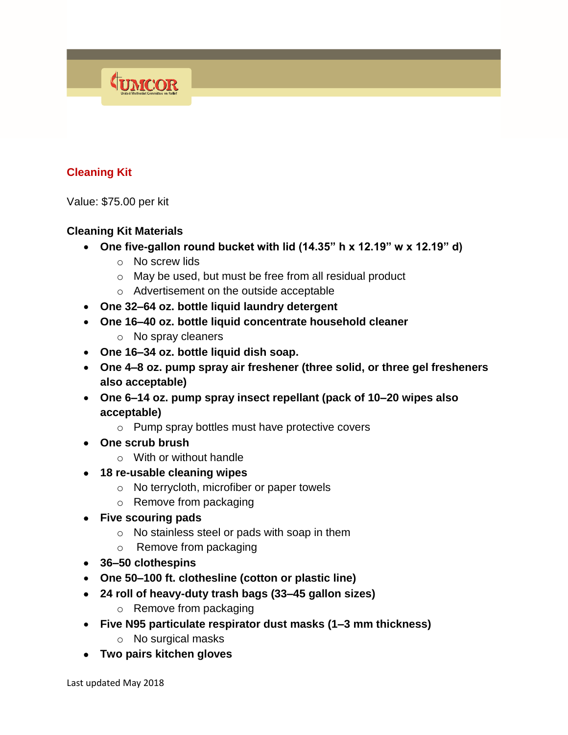# **Cleaning Kit**

Value: \$75.00 per kit

#### **Cleaning Kit Materials**

TUMCOR

- **One five-gallon round bucket with lid (14.35" h x 12.19" w x 12.19" d)**
	- o No screw lids
	- o May be used, but must be free from all residual product
	- o Advertisement on the outside acceptable
- **One 32–64 oz. bottle liquid laundry detergent**
- **One 16–40 oz. bottle liquid concentrate household cleaner** 
	- o No spray cleaners
- **One 16–34 oz. bottle liquid dish soap.**
- **One 4–8 oz. pump spray air freshener (three solid, or three gel fresheners also acceptable)**
- **One 6–14 oz. pump spray insect repellant (pack of 10–20 wipes also acceptable)**
	- o Pump spray bottles must have protective covers
- **One scrub brush**
	- o With or without handle
- **18 re-usable cleaning wipes**
	- o No terrycloth, microfiber or paper towels
	- o Remove from packaging
- **Five scouring pads**
	- o No stainless steel or pads with soap in them
	- o Remove from packaging
- **36–50 clothespins**
- **One 50–100 ft. clothesline (cotton or plastic line)**
- **24 roll of heavy-duty trash bags (33–45 gallon sizes)** 
	- o Remove from packaging
- **Five N95 particulate respirator dust masks (1–3 mm thickness)**
	- o No surgical masks
- **Two pairs kitchen gloves**